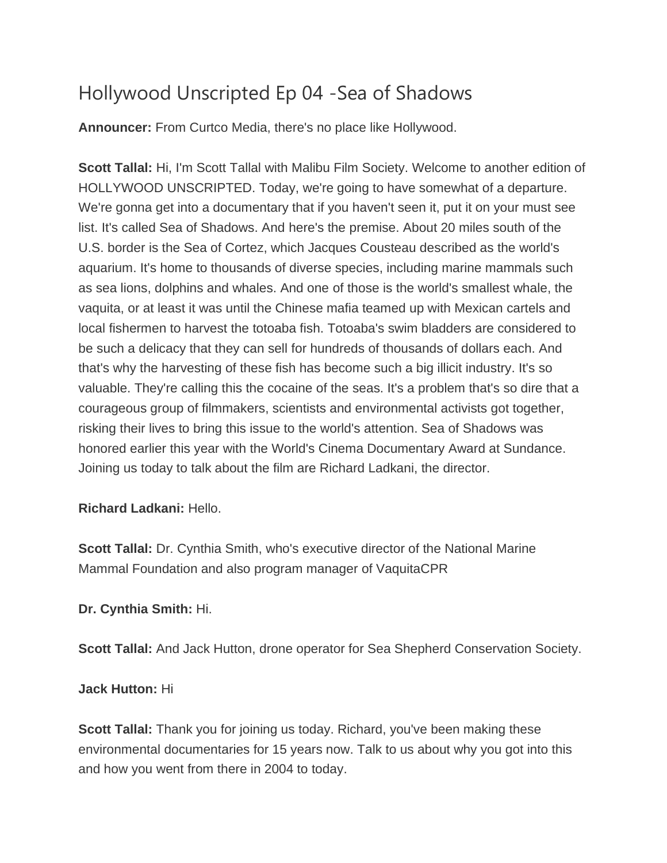## Hollywood Unscripted Ep 04 -Sea of Shadows

**Announcer:** From Curtco Media, there's no place like Hollywood.

**Scott Tallal:** Hi, I'm Scott Tallal with Malibu Film Society. Welcome to another edition of HOLLYWOOD UNSCRIPTED. Today, we're going to have somewhat of a departure. We're gonna get into a documentary that if you haven't seen it, put it on your must see list. It's called Sea of Shadows. And here's the premise. About 20 miles south of the U.S. border is the Sea of Cortez, which Jacques Cousteau described as the world's aquarium. It's home to thousands of diverse species, including marine mammals such as sea lions, dolphins and whales. And one of those is the world's smallest whale, the vaquita, or at least it was until the Chinese mafia teamed up with Mexican cartels and local fishermen to harvest the totoaba fish. Totoaba's swim bladders are considered to be such a delicacy that they can sell for hundreds of thousands of dollars each. And that's why the harvesting of these fish has become such a big illicit industry. It's so valuable. They're calling this the cocaine of the seas. It's a problem that's so dire that a courageous group of filmmakers, scientists and environmental activists got together, risking their lives to bring this issue to the world's attention. Sea of Shadows was honored earlier this year with the World's Cinema Documentary Award at Sundance. Joining us today to talk about the film are Richard Ladkani, the director.

## **Richard Ladkani:** Hello.

**Scott Tallal:** Dr. Cynthia Smith, who's executive director of the National Marine Mammal Foundation and also program manager of VaquitaCPR

## **Dr. Cynthia Smith:** Hi.

**Scott Tallal:** And Jack Hutton, drone operator for Sea Shepherd Conservation Society.

## **Jack Hutton:** Hi

**Scott Tallal:** Thank you for joining us today. Richard, you've been making these environmental documentaries for 15 years now. Talk to us about why you got into this and how you went from there in 2004 to today.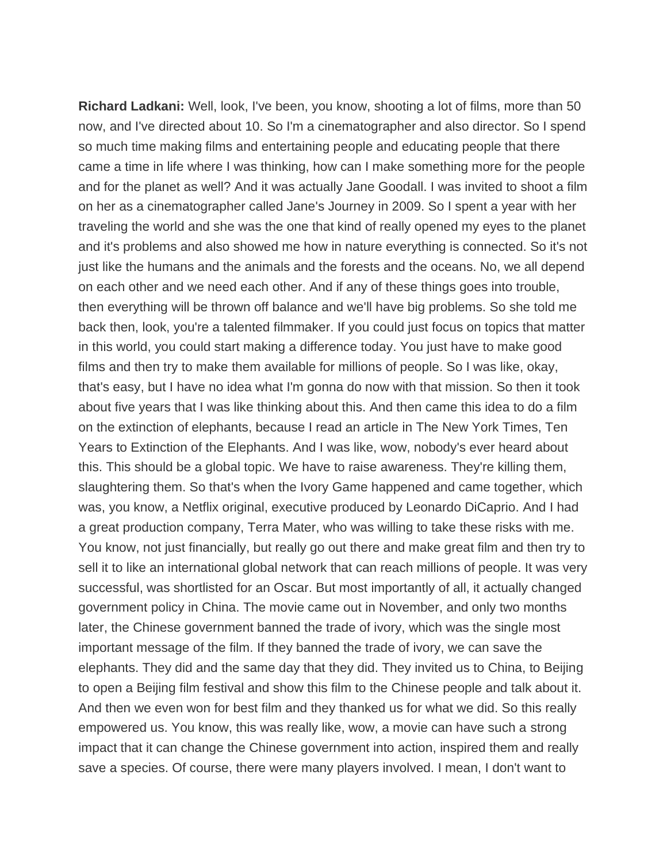**Richard Ladkani:** Well, look, I've been, you know, shooting a lot of films, more than 50 now, and I've directed about 10. So I'm a cinematographer and also director. So I spend so much time making films and entertaining people and educating people that there came a time in life where I was thinking, how can I make something more for the people and for the planet as well? And it was actually Jane Goodall. I was invited to shoot a film on her as a cinematographer called Jane's Journey in 2009. So I spent a year with her traveling the world and she was the one that kind of really opened my eyes to the planet and it's problems and also showed me how in nature everything is connected. So it's not just like the humans and the animals and the forests and the oceans. No, we all depend on each other and we need each other. And if any of these things goes into trouble, then everything will be thrown off balance and we'll have big problems. So she told me back then, look, you're a talented filmmaker. If you could just focus on topics that matter in this world, you could start making a difference today. You just have to make good films and then try to make them available for millions of people. So I was like, okay, that's easy, but I have no idea what I'm gonna do now with that mission. So then it took about five years that I was like thinking about this. And then came this idea to do a film on the extinction of elephants, because I read an article in The New York Times, Ten Years to Extinction of the Elephants. And I was like, wow, nobody's ever heard about this. This should be a global topic. We have to raise awareness. They're killing them, slaughtering them. So that's when the Ivory Game happened and came together, which was, you know, a Netflix original, executive produced by Leonardo DiCaprio. And I had a great production company, Terra Mater, who was willing to take these risks with me. You know, not just financially, but really go out there and make great film and then try to sell it to like an international global network that can reach millions of people. It was very successful, was shortlisted for an Oscar. But most importantly of all, it actually changed government policy in China. The movie came out in November, and only two months later, the Chinese government banned the trade of ivory, which was the single most important message of the film. If they banned the trade of ivory, we can save the elephants. They did and the same day that they did. They invited us to China, to Beijing to open a Beijing film festival and show this film to the Chinese people and talk about it. And then we even won for best film and they thanked us for what we did. So this really empowered us. You know, this was really like, wow, a movie can have such a strong impact that it can change the Chinese government into action, inspired them and really save a species. Of course, there were many players involved. I mean, I don't want to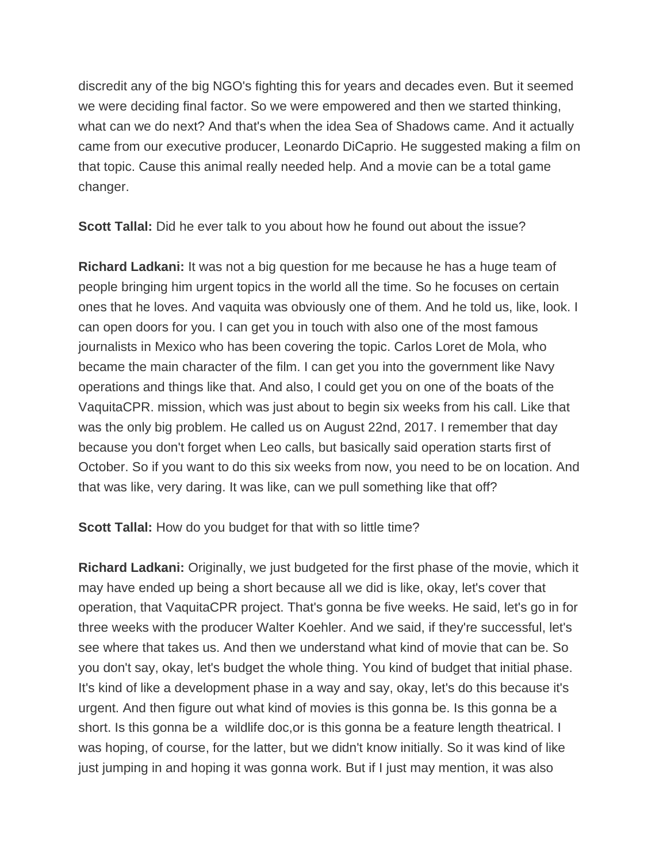discredit any of the big NGO's fighting this for years and decades even. But it seemed we were deciding final factor. So we were empowered and then we started thinking, what can we do next? And that's when the idea Sea of Shadows came. And it actually came from our executive producer, Leonardo DiCaprio. He suggested making a film on that topic. Cause this animal really needed help. And a movie can be a total game changer.

**Scott Tallal:** Did he ever talk to you about how he found out about the issue?

**Richard Ladkani:** It was not a big question for me because he has a huge team of people bringing him urgent topics in the world all the time. So he focuses on certain ones that he loves. And vaquita was obviously one of them. And he told us, like, look. I can open doors for you. I can get you in touch with also one of the most famous journalists in Mexico who has been covering the topic. Carlos Loret de Mola, who became the main character of the film. I can get you into the government like Navy operations and things like that. And also, I could get you on one of the boats of the VaquitaCPR. mission, which was just about to begin six weeks from his call. Like that was the only big problem. He called us on August 22nd, 2017. I remember that day because you don't forget when Leo calls, but basically said operation starts first of October. So if you want to do this six weeks from now, you need to be on location. And that was like, very daring. It was like, can we pull something like that off?

**Scott Tallal:** How do you budget for that with so little time?

**Richard Ladkani:** Originally, we just budgeted for the first phase of the movie, which it may have ended up being a short because all we did is like, okay, let's cover that operation, that VaquitaCPR project. That's gonna be five weeks. He said, let's go in for three weeks with the producer Walter Koehler. And we said, if they're successful, let's see where that takes us. And then we understand what kind of movie that can be. So you don't say, okay, let's budget the whole thing. You kind of budget that initial phase. It's kind of like a development phase in a way and say, okay, let's do this because it's urgent. And then figure out what kind of movies is this gonna be. Is this gonna be a short. Is this gonna be a wildlife doc,or is this gonna be a feature length theatrical. I was hoping, of course, for the latter, but we didn't know initially. So it was kind of like just jumping in and hoping it was gonna work. But if I just may mention, it was also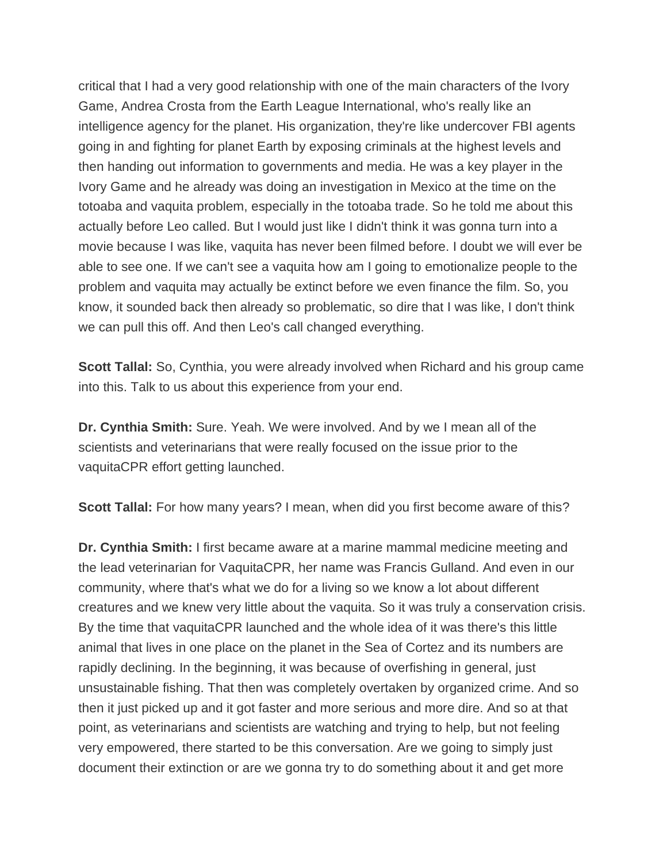critical that I had a very good relationship with one of the main characters of the Ivory Game, Andrea Crosta from the Earth League International, who's really like an intelligence agency for the planet. His organization, they're like undercover FBI agents going in and fighting for planet Earth by exposing criminals at the highest levels and then handing out information to governments and media. He was a key player in the Ivory Game and he already was doing an investigation in Mexico at the time on the totoaba and vaquita problem, especially in the totoaba trade. So he told me about this actually before Leo called. But I would just like I didn't think it was gonna turn into a movie because I was like, vaquita has never been filmed before. I doubt we will ever be able to see one. If we can't see a vaquita how am I going to emotionalize people to the problem and vaquita may actually be extinct before we even finance the film. So, you know, it sounded back then already so problematic, so dire that I was like, I don't think we can pull this off. And then Leo's call changed everything.

**Scott Tallal:** So, Cynthia, you were already involved when Richard and his group came into this. Talk to us about this experience from your end.

**Dr. Cynthia Smith:** Sure. Yeah. We were involved. And by we I mean all of the scientists and veterinarians that were really focused on the issue prior to the vaquitaCPR effort getting launched.

**Scott Tallal:** For how many years? I mean, when did you first become aware of this?

**Dr. Cynthia Smith:** I first became aware at a marine mammal medicine meeting and the lead veterinarian for VaquitaCPR, her name was Francis Gulland. And even in our community, where that's what we do for a living so we know a lot about different creatures and we knew very little about the vaquita. So it was truly a conservation crisis. By the time that vaquitaCPR launched and the whole idea of it was there's this little animal that lives in one place on the planet in the Sea of Cortez and its numbers are rapidly declining. In the beginning, it was because of overfishing in general, just unsustainable fishing. That then was completely overtaken by organized crime. And so then it just picked up and it got faster and more serious and more dire. And so at that point, as veterinarians and scientists are watching and trying to help, but not feeling very empowered, there started to be this conversation. Are we going to simply just document their extinction or are we gonna try to do something about it and get more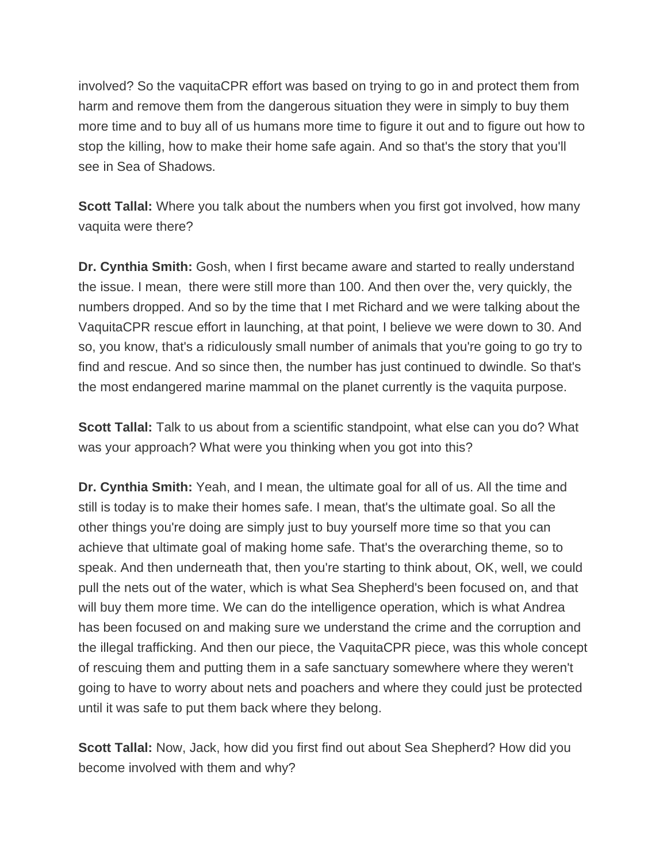involved? So the vaquitaCPR effort was based on trying to go in and protect them from harm and remove them from the dangerous situation they were in simply to buy them more time and to buy all of us humans more time to figure it out and to figure out how to stop the killing, how to make their home safe again. And so that's the story that you'll see in Sea of Shadows.

**Scott Tallal:** Where you talk about the numbers when you first got involved, how many vaquita were there?

**Dr. Cynthia Smith:** Gosh, when I first became aware and started to really understand the issue. I mean, there were still more than 100. And then over the, very quickly, the numbers dropped. And so by the time that I met Richard and we were talking about the VaquitaCPR rescue effort in launching, at that point, I believe we were down to 30. And so, you know, that's a ridiculously small number of animals that you're going to go try to find and rescue. And so since then, the number has just continued to dwindle. So that's the most endangered marine mammal on the planet currently is the vaquita purpose.

**Scott Tallal:** Talk to us about from a scientific standpoint, what else can you do? What was your approach? What were you thinking when you got into this?

**Dr. Cynthia Smith:** Yeah, and I mean, the ultimate goal for all of us. All the time and still is today is to make their homes safe. I mean, that's the ultimate goal. So all the other things you're doing are simply just to buy yourself more time so that you can achieve that ultimate goal of making home safe. That's the overarching theme, so to speak. And then underneath that, then you're starting to think about, OK, well, we could pull the nets out of the water, which is what Sea Shepherd's been focused on, and that will buy them more time. We can do the intelligence operation, which is what Andrea has been focused on and making sure we understand the crime and the corruption and the illegal trafficking. And then our piece, the VaquitaCPR piece, was this whole concept of rescuing them and putting them in a safe sanctuary somewhere where they weren't going to have to worry about nets and poachers and where they could just be protected until it was safe to put them back where they belong.

**Scott Tallal:** Now, Jack, how did you first find out about Sea Shepherd? How did you become involved with them and why?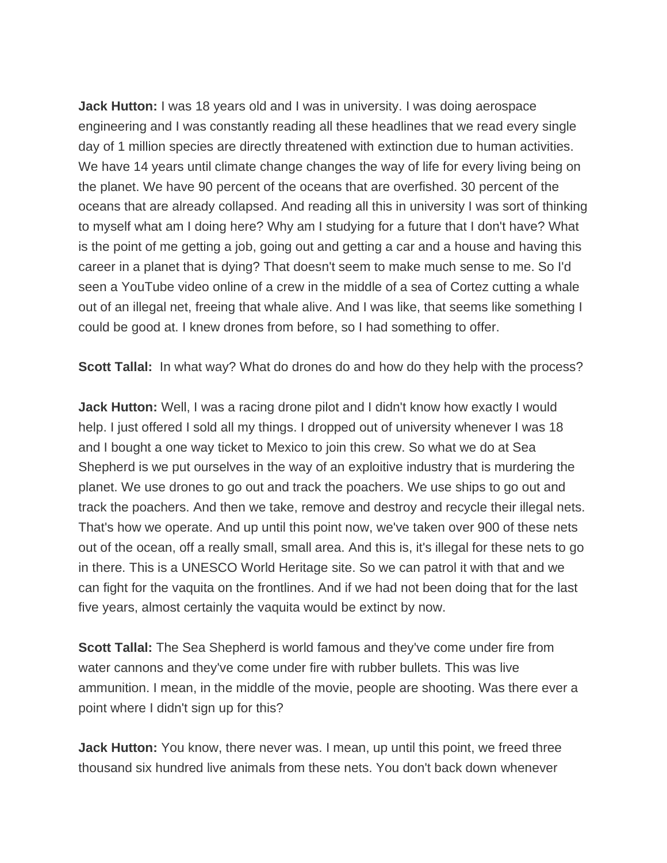**Jack Hutton:** I was 18 years old and I was in university. I was doing aerospace engineering and I was constantly reading all these headlines that we read every single day of 1 million species are directly threatened with extinction due to human activities. We have 14 years until climate change changes the way of life for every living being on the planet. We have 90 percent of the oceans that are overfished. 30 percent of the oceans that are already collapsed. And reading all this in university I was sort of thinking to myself what am I doing here? Why am I studying for a future that I don't have? What is the point of me getting a job, going out and getting a car and a house and having this career in a planet that is dying? That doesn't seem to make much sense to me. So I'd seen a YouTube video online of a crew in the middle of a sea of Cortez cutting a whale out of an illegal net, freeing that whale alive. And I was like, that seems like something I could be good at. I knew drones from before, so I had something to offer.

**Scott Tallal:** In what way? What do drones do and how do they help with the process?

**Jack Hutton:** Well, I was a racing drone pilot and I didn't know how exactly I would help. I just offered I sold all my things. I dropped out of university whenever I was 18 and I bought a one way ticket to Mexico to join this crew. So what we do at Sea Shepherd is we put ourselves in the way of an exploitive industry that is murdering the planet. We use drones to go out and track the poachers. We use ships to go out and track the poachers. And then we take, remove and destroy and recycle their illegal nets. That's how we operate. And up until this point now, we've taken over 900 of these nets out of the ocean, off a really small, small area. And this is, it's illegal for these nets to go in there. This is a UNESCO World Heritage site. So we can patrol it with that and we can fight for the vaquita on the frontlines. And if we had not been doing that for the last five years, almost certainly the vaquita would be extinct by now.

**Scott Tallal:** The Sea Shepherd is world famous and they've come under fire from water cannons and they've come under fire with rubber bullets. This was live ammunition. I mean, in the middle of the movie, people are shooting. Was there ever a point where I didn't sign up for this?

**Jack Hutton:** You know, there never was. I mean, up until this point, we freed three thousand six hundred live animals from these nets. You don't back down whenever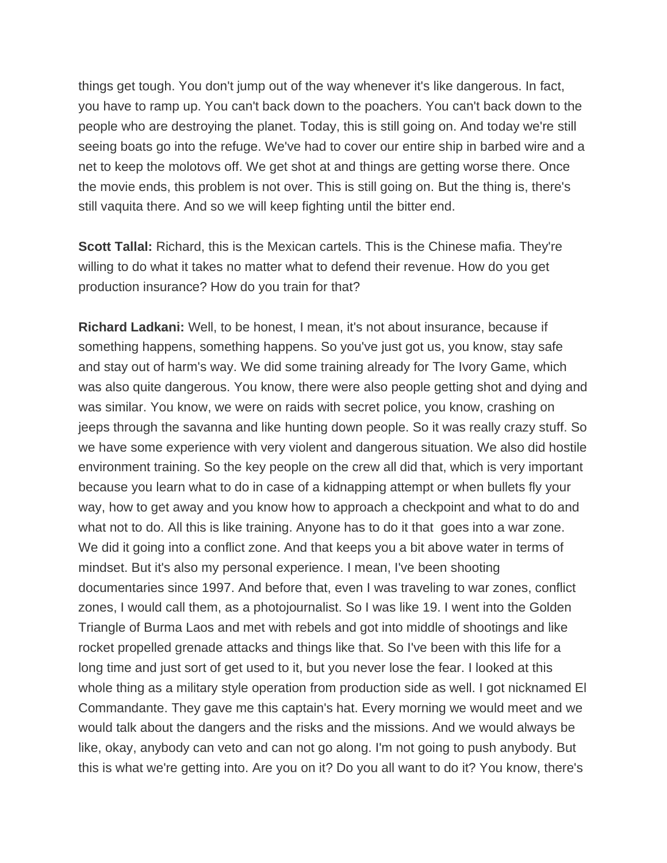things get tough. You don't jump out of the way whenever it's like dangerous. In fact, you have to ramp up. You can't back down to the poachers. You can't back down to the people who are destroying the planet. Today, this is still going on. And today we're still seeing boats go into the refuge. We've had to cover our entire ship in barbed wire and a net to keep the molotovs off. We get shot at and things are getting worse there. Once the movie ends, this problem is not over. This is still going on. But the thing is, there's still vaquita there. And so we will keep fighting until the bitter end.

**Scott Tallal:** Richard, this is the Mexican cartels. This is the Chinese mafia. They're willing to do what it takes no matter what to defend their revenue. How do you get production insurance? How do you train for that?

**Richard Ladkani:** Well, to be honest, I mean, it's not about insurance, because if something happens, something happens. So you've just got us, you know, stay safe and stay out of harm's way. We did some training already for The Ivory Game, which was also quite dangerous. You know, there were also people getting shot and dying and was similar. You know, we were on raids with secret police, you know, crashing on jeeps through the savanna and like hunting down people. So it was really crazy stuff. So we have some experience with very violent and dangerous situation. We also did hostile environment training. So the key people on the crew all did that, which is very important because you learn what to do in case of a kidnapping attempt or when bullets fly your way, how to get away and you know how to approach a checkpoint and what to do and what not to do. All this is like training. Anyone has to do it that goes into a war zone. We did it going into a conflict zone. And that keeps you a bit above water in terms of mindset. But it's also my personal experience. I mean, I've been shooting documentaries since 1997. And before that, even I was traveling to war zones, conflict zones, I would call them, as a photojournalist. So I was like 19. I went into the Golden Triangle of Burma Laos and met with rebels and got into middle of shootings and like rocket propelled grenade attacks and things like that. So I've been with this life for a long time and just sort of get used to it, but you never lose the fear. I looked at this whole thing as a military style operation from production side as well. I got nicknamed El Commandante. They gave me this captain's hat. Every morning we would meet and we would talk about the dangers and the risks and the missions. And we would always be like, okay, anybody can veto and can not go along. I'm not going to push anybody. But this is what we're getting into. Are you on it? Do you all want to do it? You know, there's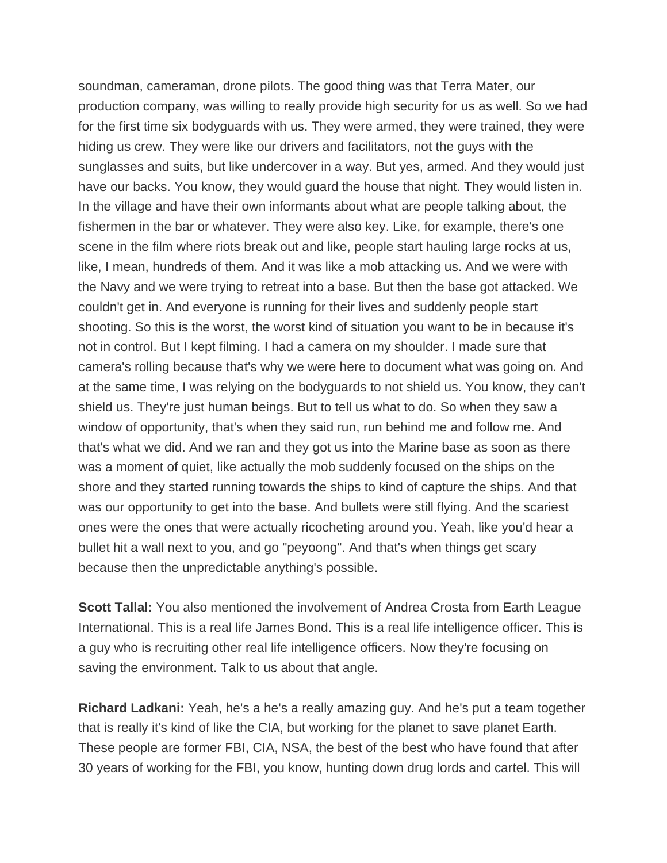soundman, cameraman, drone pilots. The good thing was that Terra Mater, our production company, was willing to really provide high security for us as well. So we had for the first time six bodyguards with us. They were armed, they were trained, they were hiding us crew. They were like our drivers and facilitators, not the guys with the sunglasses and suits, but like undercover in a way. But yes, armed. And they would just have our backs. You know, they would guard the house that night. They would listen in. In the village and have their own informants about what are people talking about, the fishermen in the bar or whatever. They were also key. Like, for example, there's one scene in the film where riots break out and like, people start hauling large rocks at us, like, I mean, hundreds of them. And it was like a mob attacking us. And we were with the Navy and we were trying to retreat into a base. But then the base got attacked. We couldn't get in. And everyone is running for their lives and suddenly people start shooting. So this is the worst, the worst kind of situation you want to be in because it's not in control. But I kept filming. I had a camera on my shoulder. I made sure that camera's rolling because that's why we were here to document what was going on. And at the same time, I was relying on the bodyguards to not shield us. You know, they can't shield us. They're just human beings. But to tell us what to do. So when they saw a window of opportunity, that's when they said run, run behind me and follow me. And that's what we did. And we ran and they got us into the Marine base as soon as there was a moment of quiet, like actually the mob suddenly focused on the ships on the shore and they started running towards the ships to kind of capture the ships. And that was our opportunity to get into the base. And bullets were still flying. And the scariest ones were the ones that were actually ricocheting around you. Yeah, like you'd hear a bullet hit a wall next to you, and go "peyoong". And that's when things get scary because then the unpredictable anything's possible.

**Scott Tallal:** You also mentioned the involvement of Andrea Crosta from Earth League International. This is a real life James Bond. This is a real life intelligence officer. This is a guy who is recruiting other real life intelligence officers. Now they're focusing on saving the environment. Talk to us about that angle.

**Richard Ladkani:** Yeah, he's a he's a really amazing guy. And he's put a team together that is really it's kind of like the CIA, but working for the planet to save planet Earth. These people are former FBI, CIA, NSA, the best of the best who have found that after 30 years of working for the FBI, you know, hunting down drug lords and cartel. This will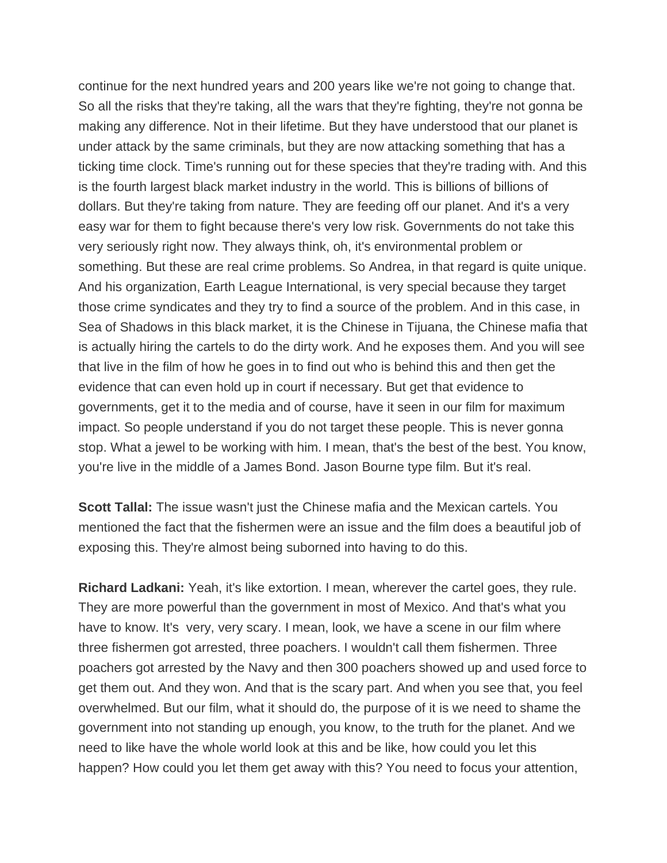continue for the next hundred years and 200 years like we're not going to change that. So all the risks that they're taking, all the wars that they're fighting, they're not gonna be making any difference. Not in their lifetime. But they have understood that our planet is under attack by the same criminals, but they are now attacking something that has a ticking time clock. Time's running out for these species that they're trading with. And this is the fourth largest black market industry in the world. This is billions of billions of dollars. But they're taking from nature. They are feeding off our planet. And it's a very easy war for them to fight because there's very low risk. Governments do not take this very seriously right now. They always think, oh, it's environmental problem or something. But these are real crime problems. So Andrea, in that regard is quite unique. And his organization, Earth League International, is very special because they target those crime syndicates and they try to find a source of the problem. And in this case, in Sea of Shadows in this black market, it is the Chinese in Tijuana, the Chinese mafia that is actually hiring the cartels to do the dirty work. And he exposes them. And you will see that live in the film of how he goes in to find out who is behind this and then get the evidence that can even hold up in court if necessary. But get that evidence to governments, get it to the media and of course, have it seen in our film for maximum impact. So people understand if you do not target these people. This is never gonna stop. What a jewel to be working with him. I mean, that's the best of the best. You know, you're live in the middle of a James Bond. Jason Bourne type film. But it's real.

**Scott Tallal:** The issue wasn't just the Chinese mafia and the Mexican cartels. You mentioned the fact that the fishermen were an issue and the film does a beautiful job of exposing this. They're almost being suborned into having to do this.

**Richard Ladkani:** Yeah, it's like extortion. I mean, wherever the cartel goes, they rule. They are more powerful than the government in most of Mexico. And that's what you have to know. It's very, very scary. I mean, look, we have a scene in our film where three fishermen got arrested, three poachers. I wouldn't call them fishermen. Three poachers got arrested by the Navy and then 300 poachers showed up and used force to get them out. And they won. And that is the scary part. And when you see that, you feel overwhelmed. But our film, what it should do, the purpose of it is we need to shame the government into not standing up enough, you know, to the truth for the planet. And we need to like have the whole world look at this and be like, how could you let this happen? How could you let them get away with this? You need to focus your attention,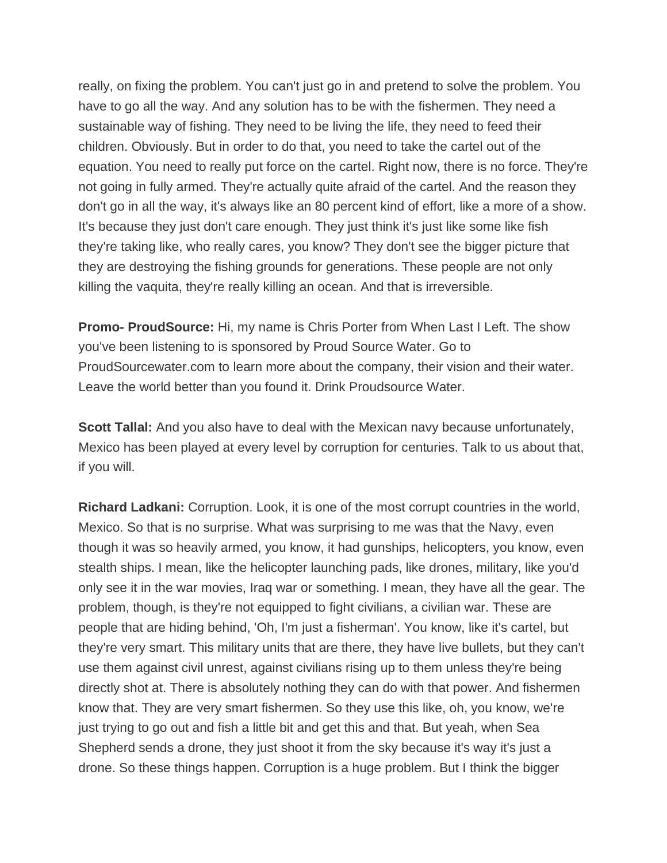really, on fixing the problem. You can't just go in and pretend to solve the problem. You have to go all the way. And any solution has to be with the fishermen. They need a sustainable way of fishing. They need to be living the life, they need to feed their children. Obviously. But in order to do that, you need to take the cartel out of the equation. You need to really put force on the cartel. Right now, there is no force. They're not going in fully armed. They're actually quite afraid of the cartel. And the reason they don't go in all the way, it's always like an 80 percent kind of effort, like a more of a show. It's because they just don't care enough. They just think it's just like some like fish they're taking like, who really cares, you know? They don't see the bigger picture that they are destroying the fishing grounds for generations. These people are not only killing the vaquita, they're really killing an ocean. And that is irreversible.

**Promo- ProudSource:** Hi, my name is Chris Porter from When Last I Left. The show you've been listening to is sponsored by Proud Source Water. Go to ProudSourcewater.com to learn more about the company, their vision and their water. Leave the world better than you found it. Drink Proudsource Water.

**Scott Tallal:** And you also have to deal with the Mexican navy because unfortunately, Mexico has been played at every level by corruption for centuries. Talk to us about that, if you will.

**Richard Ladkani:** Corruption. Look, it is one of the most corrupt countries in the world, Mexico. So that is no surprise. What was surprising to me was that the Navy, even though it was so heavily armed, you know, it had gunships, helicopters, you know, even stealth ships. I mean, like the helicopter launching pads, like drones, military, like you'd only see it in the war movies, Iraq war or something. I mean, they have all the gear. The problem, though, is they're not equipped to fight civilians, a civilian war. These are people that are hiding behind, 'Oh, I'm just a fisherman'. You know, like it's cartel, but they're very smart. This military units that are there, they have live bullets, but they can't use them against civil unrest, against civilians rising up to them unless they're being directly shot at. There is absolutely nothing they can do with that power. And fishermen know that. They are very smart fishermen. So they use this like, oh, you know, we're just trying to go out and fish a little bit and get this and that. But yeah, when Sea Shepherd sends a drone, they just shoot it from the sky because it's way it's just a drone. So these things happen. Corruption is a huge problem. But I think the bigger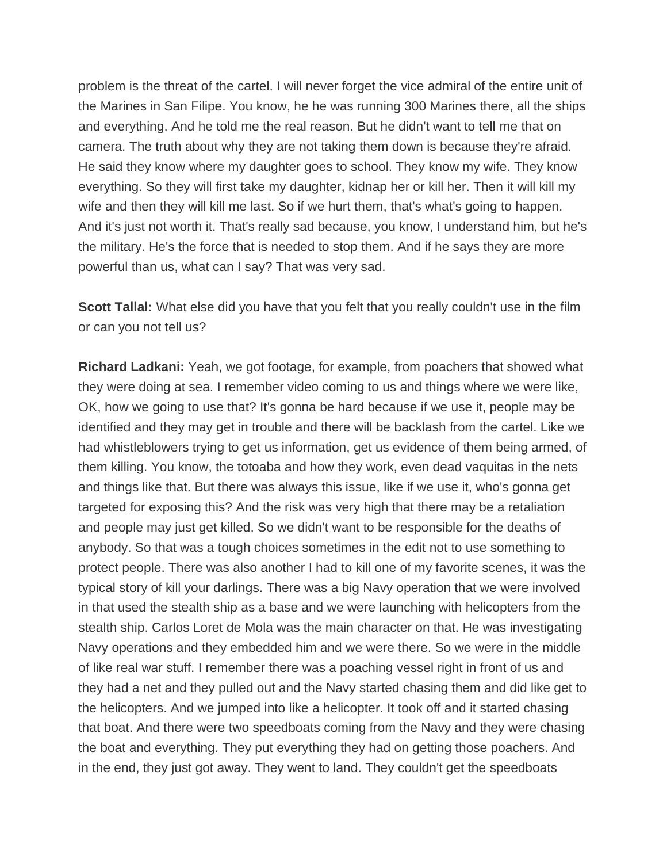problem is the threat of the cartel. I will never forget the vice admiral of the entire unit of the Marines in San Filipe. You know, he he was running 300 Marines there, all the ships and everything. And he told me the real reason. But he didn't want to tell me that on camera. The truth about why they are not taking them down is because they're afraid. He said they know where my daughter goes to school. They know my wife. They know everything. So they will first take my daughter, kidnap her or kill her. Then it will kill my wife and then they will kill me last. So if we hurt them, that's what's going to happen. And it's just not worth it. That's really sad because, you know, I understand him, but he's the military. He's the force that is needed to stop them. And if he says they are more powerful than us, what can I say? That was very sad.

**Scott Tallal:** What else did you have that you felt that you really couldn't use in the film or can you not tell us?

**Richard Ladkani:** Yeah, we got footage, for example, from poachers that showed what they were doing at sea. I remember video coming to us and things where we were like, OK, how we going to use that? It's gonna be hard because if we use it, people may be identified and they may get in trouble and there will be backlash from the cartel. Like we had whistleblowers trying to get us information, get us evidence of them being armed, of them killing. You know, the totoaba and how they work, even dead vaquitas in the nets and things like that. But there was always this issue, like if we use it, who's gonna get targeted for exposing this? And the risk was very high that there may be a retaliation and people may just get killed. So we didn't want to be responsible for the deaths of anybody. So that was a tough choices sometimes in the edit not to use something to protect people. There was also another I had to kill one of my favorite scenes, it was the typical story of kill your darlings. There was a big Navy operation that we were involved in that used the stealth ship as a base and we were launching with helicopters from the stealth ship. Carlos Loret de Mola was the main character on that. He was investigating Navy operations and they embedded him and we were there. So we were in the middle of like real war stuff. I remember there was a poaching vessel right in front of us and they had a net and they pulled out and the Navy started chasing them and did like get to the helicopters. And we jumped into like a helicopter. It took off and it started chasing that boat. And there were two speedboats coming from the Navy and they were chasing the boat and everything. They put everything they had on getting those poachers. And in the end, they just got away. They went to land. They couldn't get the speedboats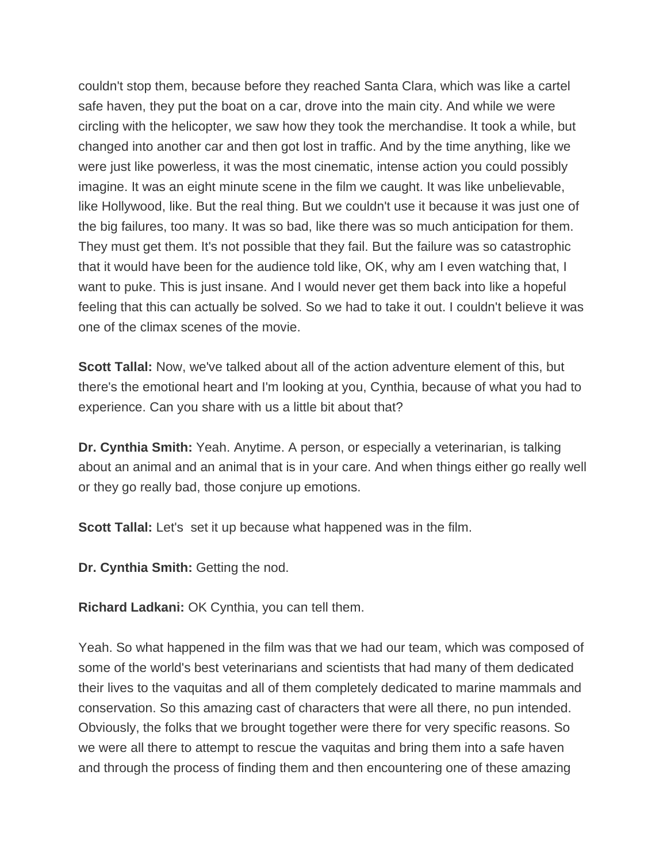couldn't stop them, because before they reached Santa Clara, which was like a cartel safe haven, they put the boat on a car, drove into the main city. And while we were circling with the helicopter, we saw how they took the merchandise. It took a while, but changed into another car and then got lost in traffic. And by the time anything, like we were just like powerless, it was the most cinematic, intense action you could possibly imagine. It was an eight minute scene in the film we caught. It was like unbelievable, like Hollywood, like. But the real thing. But we couldn't use it because it was just one of the big failures, too many. It was so bad, like there was so much anticipation for them. They must get them. It's not possible that they fail. But the failure was so catastrophic that it would have been for the audience told like, OK, why am I even watching that, I want to puke. This is just insane. And I would never get them back into like a hopeful feeling that this can actually be solved. So we had to take it out. I couldn't believe it was one of the climax scenes of the movie.

**Scott Tallal:** Now, we've talked about all of the action adventure element of this, but there's the emotional heart and I'm looking at you, Cynthia, because of what you had to experience. Can you share with us a little bit about that?

**Dr. Cynthia Smith:** Yeah. Anytime. A person, or especially a veterinarian, is talking about an animal and an animal that is in your care. And when things either go really well or they go really bad, those conjure up emotions.

**Scott Tallal:** Let's set it up because what happened was in the film.

**Dr. Cynthia Smith:** Getting the nod.

**Richard Ladkani:** OK Cynthia, you can tell them.

Yeah. So what happened in the film was that we had our team, which was composed of some of the world's best veterinarians and scientists that had many of them dedicated their lives to the vaquitas and all of them completely dedicated to marine mammals and conservation. So this amazing cast of characters that were all there, no pun intended. Obviously, the folks that we brought together were there for very specific reasons. So we were all there to attempt to rescue the vaquitas and bring them into a safe haven and through the process of finding them and then encountering one of these amazing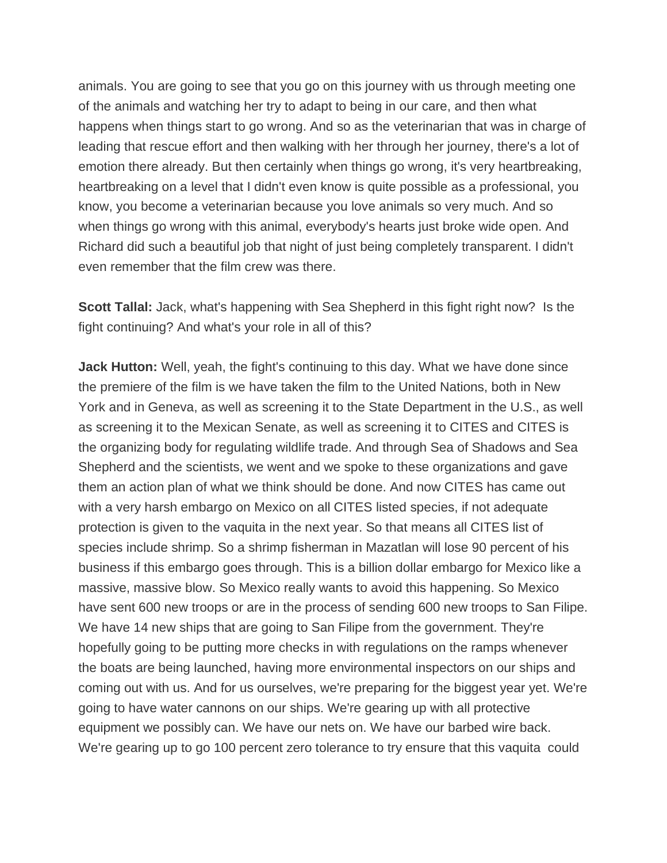animals. You are going to see that you go on this journey with us through meeting one of the animals and watching her try to adapt to being in our care, and then what happens when things start to go wrong. And so as the veterinarian that was in charge of leading that rescue effort and then walking with her through her journey, there's a lot of emotion there already. But then certainly when things go wrong, it's very heartbreaking, heartbreaking on a level that I didn't even know is quite possible as a professional, you know, you become a veterinarian because you love animals so very much. And so when things go wrong with this animal, everybody's hearts just broke wide open. And Richard did such a beautiful job that night of just being completely transparent. I didn't even remember that the film crew was there.

**Scott Tallal:** Jack, what's happening with Sea Shepherd in this fight right now? Is the fight continuing? And what's your role in all of this?

**Jack Hutton:** Well, yeah, the fight's continuing to this day. What we have done since the premiere of the film is we have taken the film to the United Nations, both in New York and in Geneva, as well as screening it to the State Department in the U.S., as well as screening it to the Mexican Senate, as well as screening it to CITES and CITES is the organizing body for regulating wildlife trade. And through Sea of Shadows and Sea Shepherd and the scientists, we went and we spoke to these organizations and gave them an action plan of what we think should be done. And now CITES has came out with a very harsh embargo on Mexico on all CITES listed species, if not adequate protection is given to the vaquita in the next year. So that means all CITES list of species include shrimp. So a shrimp fisherman in Mazatlan will lose 90 percent of his business if this embargo goes through. This is a billion dollar embargo for Mexico like a massive, massive blow. So Mexico really wants to avoid this happening. So Mexico have sent 600 new troops or are in the process of sending 600 new troops to San Filipe. We have 14 new ships that are going to San Filipe from the government. They're hopefully going to be putting more checks in with regulations on the ramps whenever the boats are being launched, having more environmental inspectors on our ships and coming out with us. And for us ourselves, we're preparing for the biggest year yet. We're going to have water cannons on our ships. We're gearing up with all protective equipment we possibly can. We have our nets on. We have our barbed wire back. We're gearing up to go 100 percent zero tolerance to try ensure that this vaquita could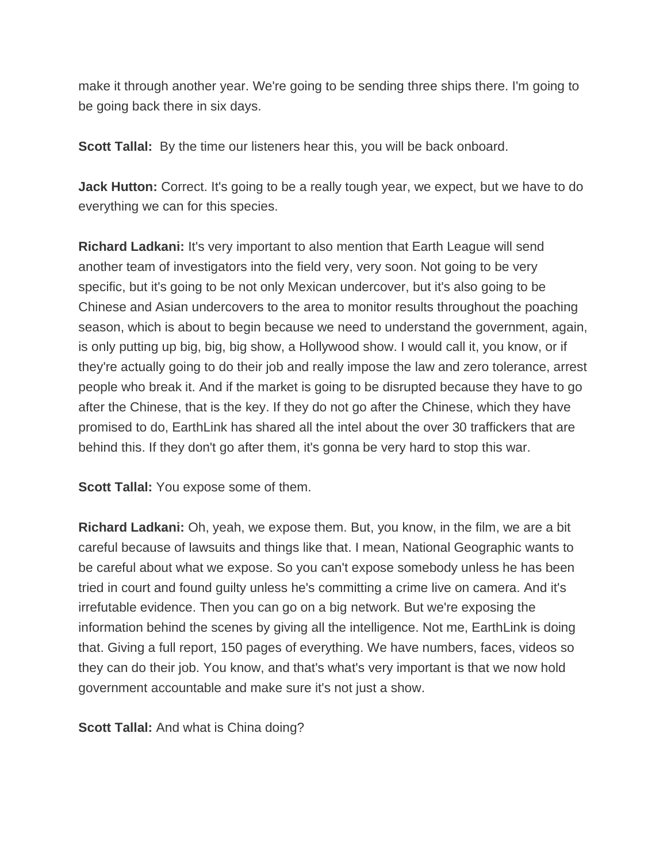make it through another year. We're going to be sending three ships there. I'm going to be going back there in six days.

**Scott Tallal:** By the time our listeners hear this, you will be back onboard.

**Jack Hutton:** Correct. It's going to be a really tough year, we expect, but we have to do everything we can for this species.

**Richard Ladkani:** It's very important to also mention that Earth League will send another team of investigators into the field very, very soon. Not going to be very specific, but it's going to be not only Mexican undercover, but it's also going to be Chinese and Asian undercovers to the area to monitor results throughout the poaching season, which is about to begin because we need to understand the government, again, is only putting up big, big, big show, a Hollywood show. I would call it, you know, or if they're actually going to do their job and really impose the law and zero tolerance, arrest people who break it. And if the market is going to be disrupted because they have to go after the Chinese, that is the key. If they do not go after the Chinese, which they have promised to do, EarthLink has shared all the intel about the over 30 traffickers that are behind this. If they don't go after them, it's gonna be very hard to stop this war.

**Scott Tallal:** You expose some of them.

**Richard Ladkani:** Oh, yeah, we expose them. But, you know, in the film, we are a bit careful because of lawsuits and things like that. I mean, National Geographic wants to be careful about what we expose. So you can't expose somebody unless he has been tried in court and found guilty unless he's committing a crime live on camera. And it's irrefutable evidence. Then you can go on a big network. But we're exposing the information behind the scenes by giving all the intelligence. Not me, EarthLink is doing that. Giving a full report, 150 pages of everything. We have numbers, faces, videos so they can do their job. You know, and that's what's very important is that we now hold government accountable and make sure it's not just a show.

**Scott Tallal:** And what is China doing?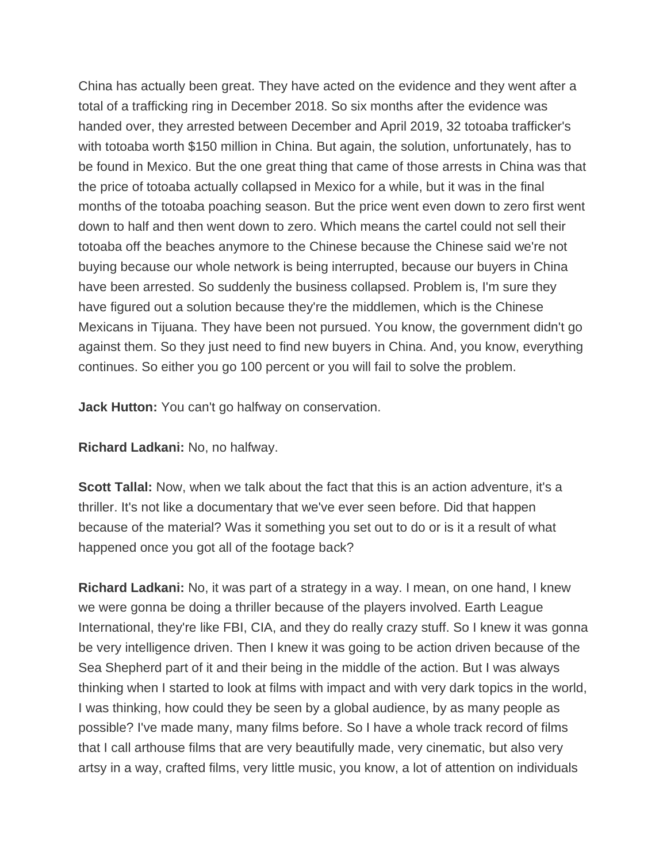China has actually been great. They have acted on the evidence and they went after a total of a trafficking ring in December 2018. So six months after the evidence was handed over, they arrested between December and April 2019, 32 totoaba trafficker's with totoaba worth \$150 million in China. But again, the solution, unfortunately, has to be found in Mexico. But the one great thing that came of those arrests in China was that the price of totoaba actually collapsed in Mexico for a while, but it was in the final months of the totoaba poaching season. But the price went even down to zero first went down to half and then went down to zero. Which means the cartel could not sell their totoaba off the beaches anymore to the Chinese because the Chinese said we're not buying because our whole network is being interrupted, because our buyers in China have been arrested. So suddenly the business collapsed. Problem is, I'm sure they have figured out a solution because they're the middlemen, which is the Chinese Mexicans in Tijuana. They have been not pursued. You know, the government didn't go against them. So they just need to find new buyers in China. And, you know, everything continues. So either you go 100 percent or you will fail to solve the problem.

**Jack Hutton:** You can't go halfway on conservation.

**Richard Ladkani:** No, no halfway.

**Scott Tallal:** Now, when we talk about the fact that this is an action adventure, it's a thriller. It's not like a documentary that we've ever seen before. Did that happen because of the material? Was it something you set out to do or is it a result of what happened once you got all of the footage back?

**Richard Ladkani:** No, it was part of a strategy in a way. I mean, on one hand, I knew we were gonna be doing a thriller because of the players involved. Earth League International, they're like FBI, CIA, and they do really crazy stuff. So I knew it was gonna be very intelligence driven. Then I knew it was going to be action driven because of the Sea Shepherd part of it and their being in the middle of the action. But I was always thinking when I started to look at films with impact and with very dark topics in the world, I was thinking, how could they be seen by a global audience, by as many people as possible? I've made many, many films before. So I have a whole track record of films that I call arthouse films that are very beautifully made, very cinematic, but also very artsy in a way, crafted films, very little music, you know, a lot of attention on individuals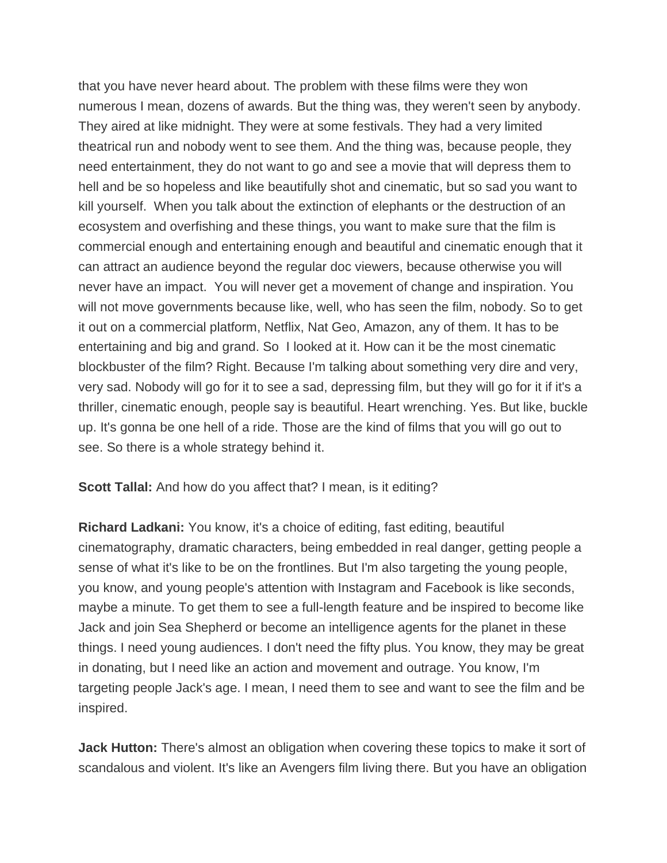that you have never heard about. The problem with these films were they won numerous I mean, dozens of awards. But the thing was, they weren't seen by anybody. They aired at like midnight. They were at some festivals. They had a very limited theatrical run and nobody went to see them. And the thing was, because people, they need entertainment, they do not want to go and see a movie that will depress them to hell and be so hopeless and like beautifully shot and cinematic, but so sad you want to kill yourself. When you talk about the extinction of elephants or the destruction of an ecosystem and overfishing and these things, you want to make sure that the film is commercial enough and entertaining enough and beautiful and cinematic enough that it can attract an audience beyond the regular doc viewers, because otherwise you will never have an impact. You will never get a movement of change and inspiration. You will not move governments because like, well, who has seen the film, nobody. So to get it out on a commercial platform, Netflix, Nat Geo, Amazon, any of them. It has to be entertaining and big and grand. So I looked at it. How can it be the most cinematic blockbuster of the film? Right. Because I'm talking about something very dire and very, very sad. Nobody will go for it to see a sad, depressing film, but they will go for it if it's a thriller, cinematic enough, people say is beautiful. Heart wrenching. Yes. But like, buckle up. It's gonna be one hell of a ride. Those are the kind of films that you will go out to see. So there is a whole strategy behind it.

**Scott Tallal:** And how do you affect that? I mean, is it editing?

**Richard Ladkani:** You know, it's a choice of editing, fast editing, beautiful cinematography, dramatic characters, being embedded in real danger, getting people a sense of what it's like to be on the frontlines. But I'm also targeting the young people, you know, and young people's attention with Instagram and Facebook is like seconds, maybe a minute. To get them to see a full-length feature and be inspired to become like Jack and join Sea Shepherd or become an intelligence agents for the planet in these things. I need young audiences. I don't need the fifty plus. You know, they may be great in donating, but I need like an action and movement and outrage. You know, I'm targeting people Jack's age. I mean, I need them to see and want to see the film and be inspired.

**Jack Hutton:** There's almost an obligation when covering these topics to make it sort of scandalous and violent. It's like an Avengers film living there. But you have an obligation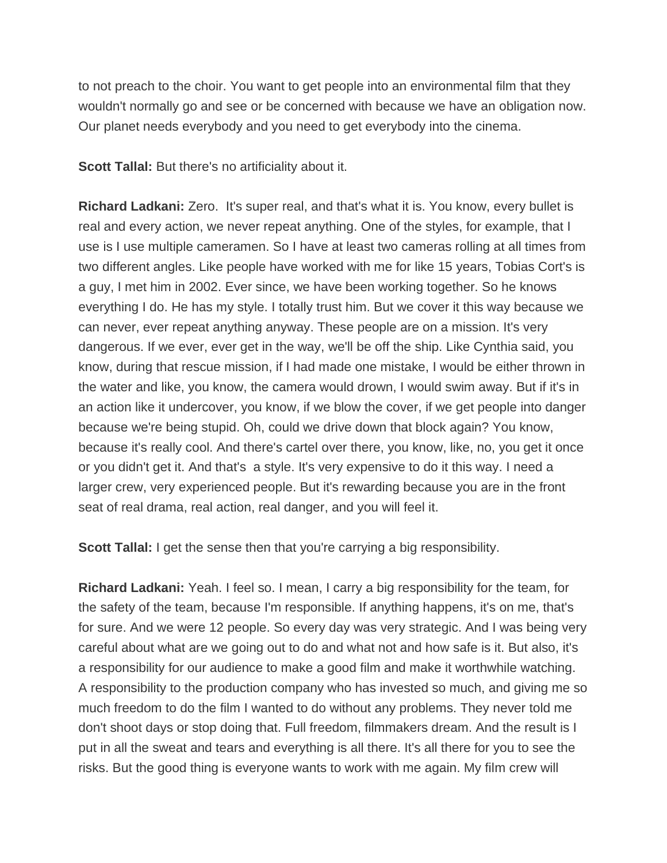to not preach to the choir. You want to get people into an environmental film that they wouldn't normally go and see or be concerned with because we have an obligation now. Our planet needs everybody and you need to get everybody into the cinema.

**Scott Tallal:** But there's no artificiality about it.

**Richard Ladkani:** Zero. It's super real, and that's what it is. You know, every bullet is real and every action, we never repeat anything. One of the styles, for example, that I use is I use multiple cameramen. So I have at least two cameras rolling at all times from two different angles. Like people have worked with me for like 15 years, Tobias Cort's is a guy, I met him in 2002. Ever since, we have been working together. So he knows everything I do. He has my style. I totally trust him. But we cover it this way because we can never, ever repeat anything anyway. These people are on a mission. It's very dangerous. If we ever, ever get in the way, we'll be off the ship. Like Cynthia said, you know, during that rescue mission, if I had made one mistake, I would be either thrown in the water and like, you know, the camera would drown, I would swim away. But if it's in an action like it undercover, you know, if we blow the cover, if we get people into danger because we're being stupid. Oh, could we drive down that block again? You know, because it's really cool. And there's cartel over there, you know, like, no, you get it once or you didn't get it. And that's a style. It's very expensive to do it this way. I need a larger crew, very experienced people. But it's rewarding because you are in the front seat of real drama, real action, real danger, and you will feel it.

**Scott Tallal:** I get the sense then that you're carrying a big responsibility.

**Richard Ladkani:** Yeah. I feel so. I mean, I carry a big responsibility for the team, for the safety of the team, because I'm responsible. If anything happens, it's on me, that's for sure. And we were 12 people. So every day was very strategic. And I was being very careful about what are we going out to do and what not and how safe is it. But also, it's a responsibility for our audience to make a good film and make it worthwhile watching. A responsibility to the production company who has invested so much, and giving me so much freedom to do the film I wanted to do without any problems. They never told me don't shoot days or stop doing that. Full freedom, filmmakers dream. And the result is I put in all the sweat and tears and everything is all there. It's all there for you to see the risks. But the good thing is everyone wants to work with me again. My film crew will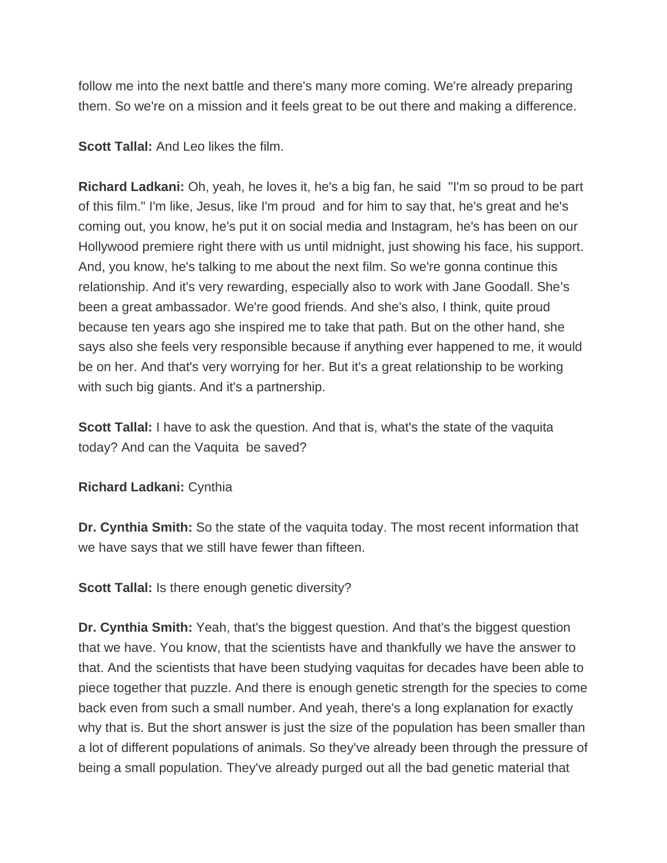follow me into the next battle and there's many more coming. We're already preparing them. So we're on a mission and it feels great to be out there and making a difference.

**Scott Tallal:** And Leo likes the film.

**Richard Ladkani:** Oh, yeah, he loves it, he's a big fan, he said "I'm so proud to be part of this film." I'm like, Jesus, like I'm proud and for him to say that, he's great and he's coming out, you know, he's put it on social media and Instagram, he's has been on our Hollywood premiere right there with us until midnight, just showing his face, his support. And, you know, he's talking to me about the next film. So we're gonna continue this relationship. And it's very rewarding, especially also to work with Jane Goodall. She's been a great ambassador. We're good friends. And she's also, I think, quite proud because ten years ago she inspired me to take that path. But on the other hand, she says also she feels very responsible because if anything ever happened to me, it would be on her. And that's very worrying for her. But it's a great relationship to be working with such big giants. And it's a partnership.

**Scott Tallal:** I have to ask the question. And that is, what's the state of the vaquita today? And can the Vaquita be saved?

**Richard Ladkani:** Cynthia

**Dr. Cynthia Smith:** So the state of the vaquita today. The most recent information that we have says that we still have fewer than fifteen.

**Scott Tallal:** Is there enough genetic diversity?

**Dr. Cynthia Smith:** Yeah, that's the biggest question. And that's the biggest question that we have. You know, that the scientists have and thankfully we have the answer to that. And the scientists that have been studying vaquitas for decades have been able to piece together that puzzle. And there is enough genetic strength for the species to come back even from such a small number. And yeah, there's a long explanation for exactly why that is. But the short answer is just the size of the population has been smaller than a lot of different populations of animals. So they've already been through the pressure of being a small population. They've already purged out all the bad genetic material that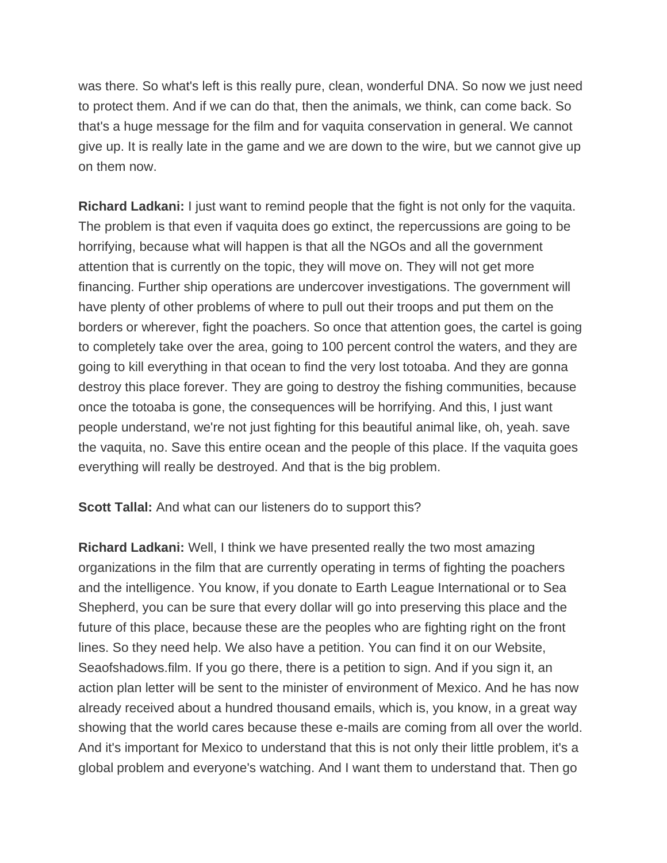was there. So what's left is this really pure, clean, wonderful DNA. So now we just need to protect them. And if we can do that, then the animals, we think, can come back. So that's a huge message for the film and for vaquita conservation in general. We cannot give up. It is really late in the game and we are down to the wire, but we cannot give up on them now.

**Richard Ladkani:** I just want to remind people that the fight is not only for the vaquita. The problem is that even if vaquita does go extinct, the repercussions are going to be horrifying, because what will happen is that all the NGOs and all the government attention that is currently on the topic, they will move on. They will not get more financing. Further ship operations are undercover investigations. The government will have plenty of other problems of where to pull out their troops and put them on the borders or wherever, fight the poachers. So once that attention goes, the cartel is going to completely take over the area, going to 100 percent control the waters, and they are going to kill everything in that ocean to find the very lost totoaba. And they are gonna destroy this place forever. They are going to destroy the fishing communities, because once the totoaba is gone, the consequences will be horrifying. And this, I just want people understand, we're not just fighting for this beautiful animal like, oh, yeah. save the vaquita, no. Save this entire ocean and the people of this place. If the vaquita goes everything will really be destroyed. And that is the big problem.

**Scott Tallal:** And what can our listeners do to support this?

**Richard Ladkani:** Well, I think we have presented really the two most amazing organizations in the film that are currently operating in terms of fighting the poachers and the intelligence. You know, if you donate to Earth League International or to Sea Shepherd, you can be sure that every dollar will go into preserving this place and the future of this place, because these are the peoples who are fighting right on the front lines. So they need help. We also have a petition. You can find it on our Website, Seaofshadows.film. If you go there, there is a petition to sign. And if you sign it, an action plan letter will be sent to the minister of environment of Mexico. And he has now already received about a hundred thousand emails, which is, you know, in a great way showing that the world cares because these e-mails are coming from all over the world. And it's important for Mexico to understand that this is not only their little problem, it's a global problem and everyone's watching. And I want them to understand that. Then go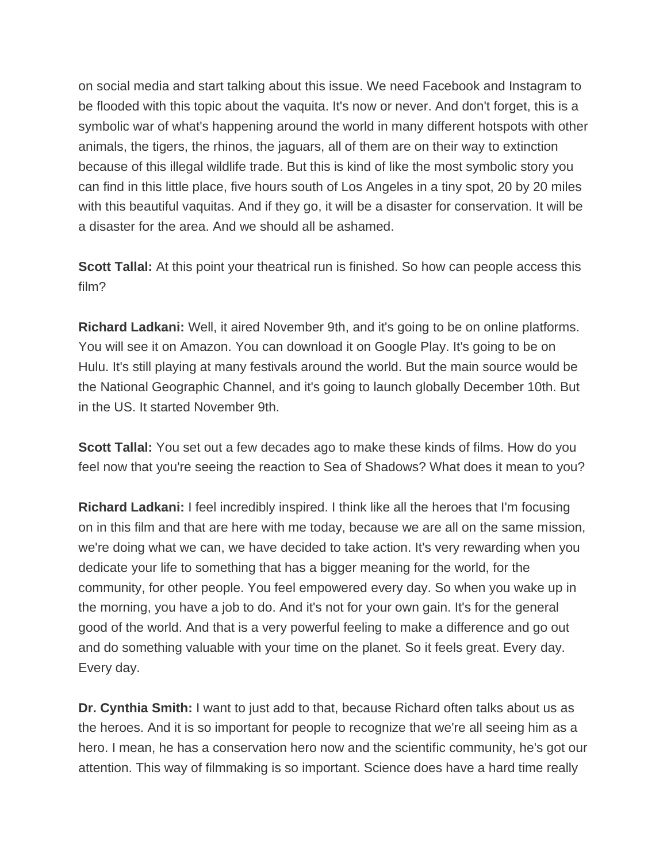on social media and start talking about this issue. We need Facebook and Instagram to be flooded with this topic about the vaquita. It's now or never. And don't forget, this is a symbolic war of what's happening around the world in many different hotspots with other animals, the tigers, the rhinos, the jaguars, all of them are on their way to extinction because of this illegal wildlife trade. But this is kind of like the most symbolic story you can find in this little place, five hours south of Los Angeles in a tiny spot, 20 by 20 miles with this beautiful vaquitas. And if they go, it will be a disaster for conservation. It will be a disaster for the area. And we should all be ashamed.

**Scott Tallal:** At this point your theatrical run is finished. So how can people access this film?

**Richard Ladkani:** Well, it aired November 9th, and it's going to be on online platforms. You will see it on Amazon. You can download it on Google Play. It's going to be on Hulu. It's still playing at many festivals around the world. But the main source would be the National Geographic Channel, and it's going to launch globally December 10th. But in the US. It started November 9th.

**Scott Tallal:** You set out a few decades ago to make these kinds of films. How do you feel now that you're seeing the reaction to Sea of Shadows? What does it mean to you?

**Richard Ladkani:** I feel incredibly inspired. I think like all the heroes that I'm focusing on in this film and that are here with me today, because we are all on the same mission, we're doing what we can, we have decided to take action. It's very rewarding when you dedicate your life to something that has a bigger meaning for the world, for the community, for other people. You feel empowered every day. So when you wake up in the morning, you have a job to do. And it's not for your own gain. It's for the general good of the world. And that is a very powerful feeling to make a difference and go out and do something valuable with your time on the planet. So it feels great. Every day. Every day.

**Dr. Cynthia Smith:** I want to just add to that, because Richard often talks about us as the heroes. And it is so important for people to recognize that we're all seeing him as a hero. I mean, he has a conservation hero now and the scientific community, he's got our attention. This way of filmmaking is so important. Science does have a hard time really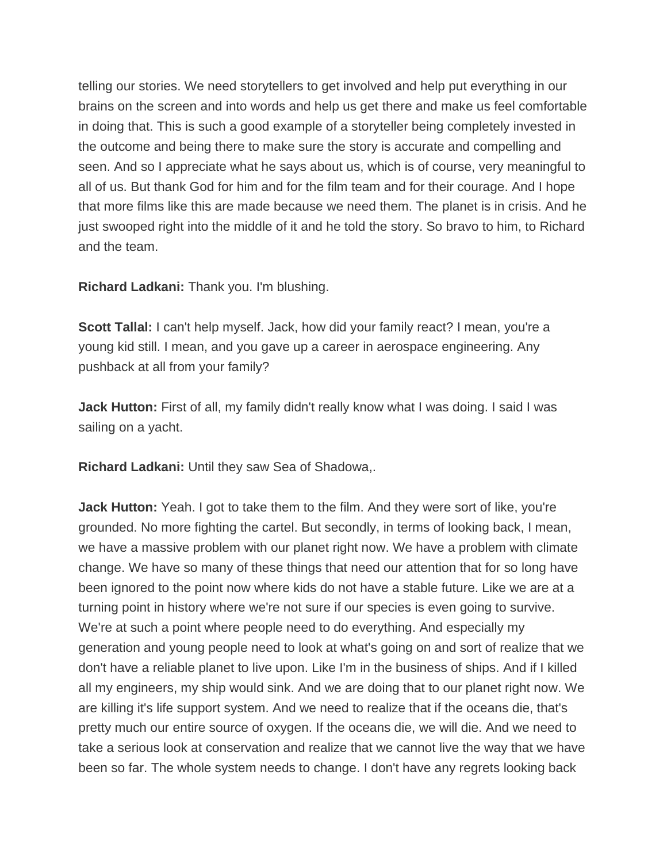telling our stories. We need storytellers to get involved and help put everything in our brains on the screen and into words and help us get there and make us feel comfortable in doing that. This is such a good example of a storyteller being completely invested in the outcome and being there to make sure the story is accurate and compelling and seen. And so I appreciate what he says about us, which is of course, very meaningful to all of us. But thank God for him and for the film team and for their courage. And I hope that more films like this are made because we need them. The planet is in crisis. And he just swooped right into the middle of it and he told the story. So bravo to him, to Richard and the team.

**Richard Ladkani:** Thank you. I'm blushing.

**Scott Tallal:** I can't help myself. Jack, how did your family react? I mean, you're a young kid still. I mean, and you gave up a career in aerospace engineering. Any pushback at all from your family?

**Jack Hutton:** First of all, my family didn't really know what I was doing. I said I was sailing on a yacht.

**Richard Ladkani:** Until they saw Sea of Shadowa,.

**Jack Hutton:** Yeah. I got to take them to the film. And they were sort of like, you're grounded. No more fighting the cartel. But secondly, in terms of looking back, I mean, we have a massive problem with our planet right now. We have a problem with climate change. We have so many of these things that need our attention that for so long have been ignored to the point now where kids do not have a stable future. Like we are at a turning point in history where we're not sure if our species is even going to survive. We're at such a point where people need to do everything. And especially my generation and young people need to look at what's going on and sort of realize that we don't have a reliable planet to live upon. Like I'm in the business of ships. And if I killed all my engineers, my ship would sink. And we are doing that to our planet right now. We are killing it's life support system. And we need to realize that if the oceans die, that's pretty much our entire source of oxygen. If the oceans die, we will die. And we need to take a serious look at conservation and realize that we cannot live the way that we have been so far. The whole system needs to change. I don't have any regrets looking back